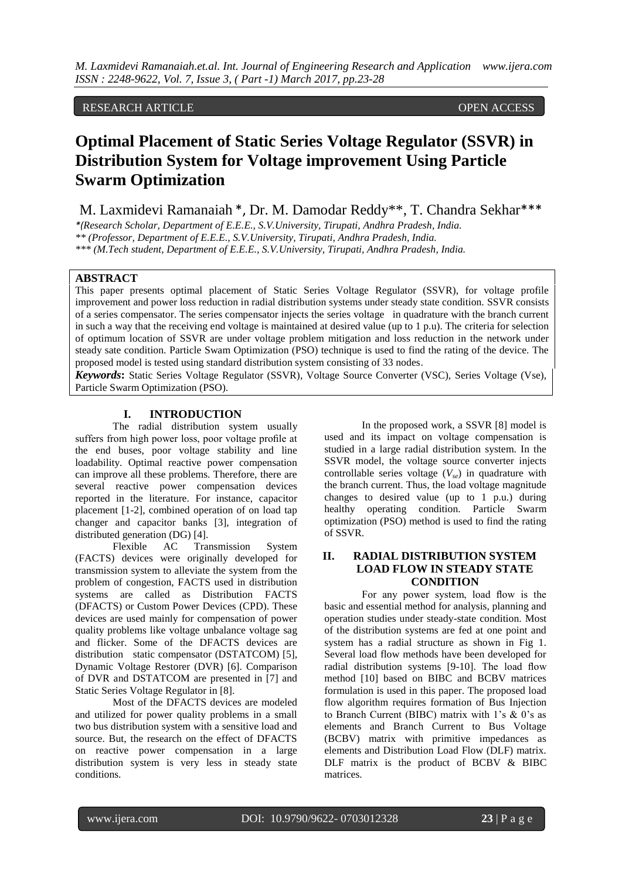# RESEARCH ARTICLE OPEN ACCESS

# **Optimal Placement of Static Series Voltage Regulator (SSVR) in Distribution System for Voltage improvement Using Particle Swarm Optimization**

M. Laxmidevi Ramanaiah \*, Dr. M. Damodar Reddy\*\*, T. Chandra Sekhar\*\*\*

*\*(Research Scholar, Department of E.E.E., S.V.University, Tirupati, Andhra Pradesh, India. \*\* (Professor, Department of E.E.E., S.V.University, Tirupati, Andhra Pradesh, India.*

*\*\*\* (M.Tech student, Department of E.E.E., S.V.University, Tirupati, Andhra Pradesh, India.* 

#### **ABSTRACT**

This paper presents optimal placement of Static Series Voltage Regulator (SSVR), for voltage profile improvement and power loss reduction in radial distribution systems under steady state condition. SSVR consists of a series compensator. The series compensator injects the series voltage in quadrature with the branch current in such a way that the receiving end voltage is maintained at desired value (up to 1 p.u). The criteria for selection of optimum location of SSVR are under voltage problem mitigation and loss reduction in the network under steady sate condition. Particle Swam Optimization (PSO) technique is used to find the rating of the device. The proposed model is tested using standard distribution system consisting of 33 nodes.

*Keywords***:** Static Series Voltage Regulator (SSVR), Voltage Source Converter (VSC), Series Voltage (Vse), Particle Swarm Optimization (PSO).

# **I. INTRODUCTION**

The radial distribution system usually suffers from high power loss, poor voltage profile at the end buses, poor voltage stability and line loadability. Optimal reactive power compensation can improve all these problems. Therefore, there are several reactive power compensation devices reported in the literature. For instance, capacitor placement [1-2], combined operation of on load tap changer and capacitor banks [3], integration of distributed generation (DG) [4].

Flexible AC Transmission System (FACTS) devices were originally developed for transmission system to alleviate the system from the problem of congestion, FACTS used in distribution systems are called as Distribution FACTS (DFACTS) or Custom Power Devices (CPD). These devices are used mainly for compensation of power quality problems like voltage unbalance voltage sag and flicker. Some of the DFACTS devices are distribution static compensator (DSTATCOM) [5], Dynamic Voltage Restorer (DVR) [6]. Comparison of DVR and DSTATCOM are presented in [7] and Static Series Voltage Regulator in [8].

Most of the DFACTS devices are modeled and utilized for power quality problems in a small two bus distribution system with a sensitive load and source. But, the research on the effect of DFACTS on reactive power compensation in a large distribution system is very less in steady state conditions.

In the proposed work, a SSVR [8] model is used and its impact on voltage compensation is studied in a large radial distribution system. In the SSVR model, the voltage source converter injects controllable series voltage (*Vse*) in quadrature with the branch current. Thus, the load voltage magnitude changes to desired value (up to 1 p.u.) during healthy operating condition. Particle Swarm optimization (PSO) method is used to find the rating of SSVR.

# **II. RADIAL DISTRIBUTION SYSTEM LOAD FLOW IN STEADY STATE CONDITION**

For any power system, load flow is the basic and essential method for analysis, planning and operation studies under steady-state condition. Most of the distribution systems are fed at one point and system has a radial structure as shown in Fig 1. Several load flow methods have been developed for radial distribution systems [9-10]. The load flow method [10] based on BIBC and BCBV matrices formulation is used in this paper. The proposed load flow algorithm requires formation of Bus Injection to Branch Current (BIBC) matrix with 1's & 0's as elements and Branch Current to Bus Voltage (BCBV) matrix with primitive impedances as elements and Distribution Load Flow (DLF) matrix. DLF matrix is the product of BCBV & BIBC matrices.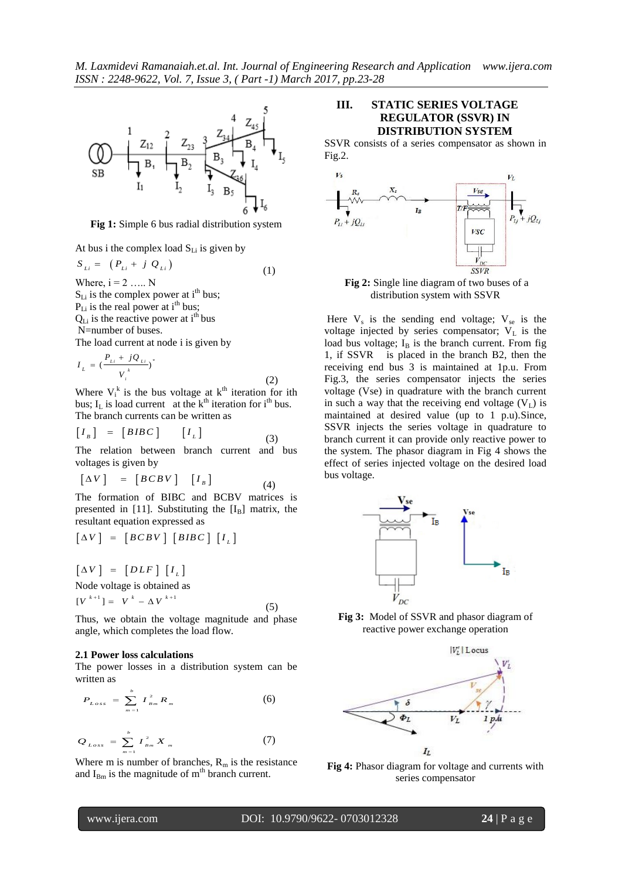*M. Laxmidevi Ramanaiah.et.al. Int. Journal of Engineering Research and Application www.ijera.com ISSN : 2248-9622, Vol. 7, Issue 3, ( Part -1) March 2017, pp.23-28*



**Fig 1:** Simple 6 bus radial distribution system

At bus i the complex load  $S_{Li}$  is given by

$$
S_{Li} = (P_{Li} + j Q_{Li}) \tag{1}
$$

Where,  $i = 2$  ….. N  $S_{Li}$  is the complex power at i<sup>th</sup> bus;  $P_{Li}$  is the real power at i<sup>th</sup> bus;  $Q_{Li}$  is the reactive power at i<sup>th</sup> bus N=number of buses. The load current at node i is given by

$$
I_{L} = \left(\frac{P_{Li} + jQ_{Li}}{V_{i}^{k}}\right)^{*}
$$
 (2)

Where  $V_i^k$  is the bus voltage at  $k^{\text{th}}$  iteration for ith bus;  $I_L$  is load current at the  $k<sup>th</sup>$  iteration for i<sup>th</sup> bus. The branch currents can be written as

$$
\begin{bmatrix} I_{B} \end{bmatrix} = \begin{bmatrix} BIBC \end{bmatrix} \begin{bmatrix} I_{L} \end{bmatrix}
$$
 (3)

The relation between branch current and bus voltages is given by

$$
\begin{bmatrix} \Delta V \end{bmatrix} = \begin{bmatrix} BCBV \end{bmatrix} \begin{bmatrix} I_B \end{bmatrix}
$$

The formation of BIBC and BCBV matrices is presented in [11]. Substituting the  $[I_B]$  matrix, the resultant equation expressed as

(4)

[
$$
\Delta V
$$
] = [*BCBV*] [*BIBC*] [ $I_L$ ]

$$
\begin{bmatrix} \Delta V \end{bmatrix} = \begin{bmatrix} DLF \end{bmatrix} \begin{bmatrix} I_L \end{bmatrix}
$$
  
Node voltage is obtained as

$$
[V^{k+1}] = V^{k} - \Delta V^{k+1}
$$
 (5)

Thus, we obtain the voltage magnitude and phase angle, which completes the load flow.

#### **2.1 Power loss calculations**

The power losses in a distribution system can be written as

$$
P_{Loss} = \sum_{m=1}^{b} I_{Bm}^{2} R_{m}
$$
 (6)

$$
Q_{Loss} = \sum_{m=1}^{b} I_{Bm}^{2} X_{m}
$$
 (7)

Where m is number of branches,  $R_m$  is the resistance and  $I_{Bm}$  is the magnitude of m<sup>th</sup> branch current.

## **III. STATIC SERIES VOLTAGE REGULATOR (SSVR) IN DISTRIBUTION SYSTEM**

SSVR consists of a series compensator as shown in Fig.2.



**Fig 2:** Single line diagram of two buses of a distribution system with SSVR

Here  $V_s$  is the sending end voltage;  $V_{se}$  is the voltage injected by series compensator;  $V_L$  is the load bus voltage;  $I_B$  is the branch current. From fig 1, if SSVR is placed in the branch B2, then the receiving end bus 3 is maintained at 1p.u. From Fig.3, the series compensator injects the series voltage (Vse) in quadrature with the branch current in such a way that the receiving end voltage  $(V<sub>L</sub>)$  is maintained at desired value (up to 1 p.u).Since, SSVR injects the series voltage in quadrature to branch current it can provide only reactive power to the system. The phasor diagram in Fig 4 shows the effect of series injected voltage on the desired load bus voltage.



**Fig 3:** Model of SSVR and phasor diagram of reactive power exchange operation



**Fig 4:** Phasor diagram for voltage and currents with series compensator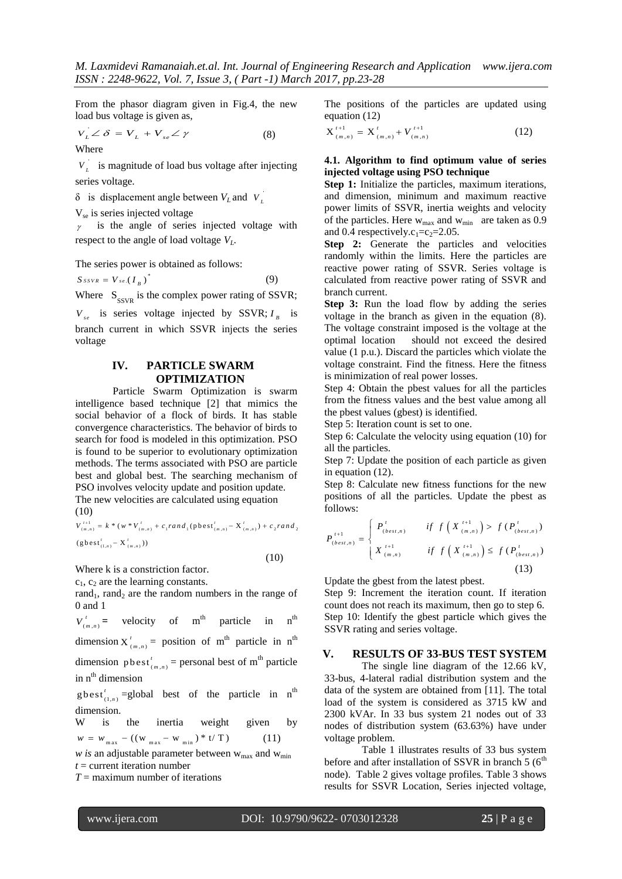From the phasor diagram given in Fig.4, the new load bus voltage is given as,

$$
V_L \angle \delta = V_L + V_{se} \angle \gamma \tag{8}
$$
  
Where

 $V_L$  is magnitude of load bus voltage after injecting series voltage.

 $\delta$  is displacement angle between  $V_L$  and  $V_L$ 

 $V_{\rm se}$  is series injected voltage

 $\gamma$  is the angle of series injected voltage with respect to the angle of load voltage  $V_L$ .

The series power is obtained as follows:

 $S$ *ssvr* =  $V$ *se*.( $I_B$ )<sup>\*</sup> (9)

Where  $S_{SSVR}$  is the complex power rating of SSVR;

 $V_{se}$  is series voltage injected by SSVR;  $I_B$  is branch current in which SSVR injects the series voltage

## **IV. PARTICLE SWARM OPTIMIZATION**

Particle Swarm Optimization is swarm intelligence based technique [2] that mimics the social behavior of a flock of birds. It has stable convergence characteristics. The behavior of birds to search for food is modeled in this optimization. PSO is found to be superior to evolutionary optimization methods. The terms associated with PSO are particle best and global best. The searching mechanism of PSO involves velocity update and position update.

The new velocities are calculated using equation (10)  $(\text{pbest}'_{(m,n)} - X'_{(m,n)})$  $\mathbf{r} = \mathbf{X}^T$ *v*)<br> $t^{t+1} = k * (w * v')$  $- X^{t}_{(m,n)}) + c_{2} ran$ =  $k * (w * V'_{(m,n)} + c_1 ran$ 

(10)  
\n
$$
V_{(m,n)}^{t+1} = k * (w * V_{(m,n)}^t + c_1 rand_1(\text{pbest}_{(m,n)}^t - X_{(m,n)}^t) + c_2 rand_2
$$
\n
$$
(\text{gbest}_{(1,n)}^t - X_{(m,n)}^t))
$$

(10)

Where k is a constriction factor.

 $c_1$ ,  $c_2$  are the learning constants.

rand<sub>1</sub>, rand<sub>2</sub> are the random numbers in the range of 0 and 1

 $(m, n)$ *t*  $V_{(m,n)}^t$  = velocity of m<sup>th</sup> particle in n<sup>th</sup>

dimension  $X'_{(m,n)}$  $_{m,n}$  = position of m<sup>th</sup> particle in n<sup>th</sup>

dimension  $p \text{ best}_{(m,n)}^t$  = personal best of m<sup>th</sup> particle in  $n<sup>th</sup>$  dimension

 $g$ best<sup>'</sup><sub>(1,n)</sub> =global best of the particle in n<sup>th</sup> dimension.

W is the inertia weight given by  $w = w_{max} - ((w_{max} - w_{min}) * t / T)$ (11)

*w is* an adjustable parameter between  $w_{max}$  and  $w_{min}$  $t =$  current iteration number

*T* = maximum number of iterations

The positions of the particles are updated using equation (12)

$$
X^{t+1}_{(m,n)} = X^{t}_{(m,n)} + V^{t+1}_{(m,n)}
$$
 (12)

#### **4.1. Algorithm to find optimum value of series injected voltage using PSO technique**

**Step 1:** Initialize the particles, maximum iterations, and dimension, minimum and maximum reactive power limits of SSVR, inertia weights and velocity of the particles. Here  $w_{\text{max}}$  and  $w_{\text{min}}$  are taken as 0.9 and 0.4 respectively.c<sub>1</sub>=c<sub>2</sub>=2.05.

**Step 2:** Generate the particles and velocities randomly within the limits. Here the particles are reactive power rating of SSVR. Series voltage is calculated from reactive power rating of SSVR and branch current.

**Step 3:** Run the load flow by adding the series voltage in the branch as given in the equation (8). The voltage constraint imposed is the voltage at the optimal location should not exceed the desired value (1 p.u.). Discard the particles which violate the voltage constraint. Find the fitness. Here the fitness is minimization of real power losses.

Step 4: Obtain the pbest values for all the particles from the fitness values and the best value among all the pbest values (gbest) is identified.

Step 5: Iteration count is set to one.

Step 6: Calculate the velocity using equation (10) for all the particles.

Step 7: Update the position of each particle as given in equation (12).

Step 8: Calculate new fitness functions for the new positions of all the particles. Update the pbest as follows:

$$
P_{(best,n)}^{t+1} = \begin{cases} P_{(best,n)}^t & \text{if } f\left(X_{(m,n)}^{t+1}\right) > f\left(P_{(best,n)}^t\right) \\ X_{(m,n)}^{t+1} & \text{if } f\left(X_{(m,n)}^{t+1}\right) \le f\left(P_{(best,n)}^t\right) \\ X_{(m,n)}^{t+1} & \text{if } f\left(X_{(m,n)}^{t+1}\right) \le f\left(P_{(best,n)}^t\right) \end{cases}
$$
(13)

Update the gbest from the latest pbest.

Step 9: Increment the iteration count. If iteration count does not reach its maximum, then go to step 6. Step 10: Identify the gbest particle which gives the SSVR rating and series voltage.

# **V. RESULTS OF 33-BUS TEST SYSTEM**

The single line diagram of the 12.66 kV, 33-bus, 4-lateral radial distribution system and the data of the system are obtained from [11]. The total load of the system is considered as 3715 kW and 2300 kVAr. In 33 bus system 21 nodes out of 33 nodes of distribution system (63.63%) have under voltage problem.

Table 1 illustrates results of 33 bus system before and after installation of SSVR in branch  $5(6<sup>th</sup>)$ node). Table 2 gives voltage profiles. Table 3 shows results for SSVR Location, Series injected voltage,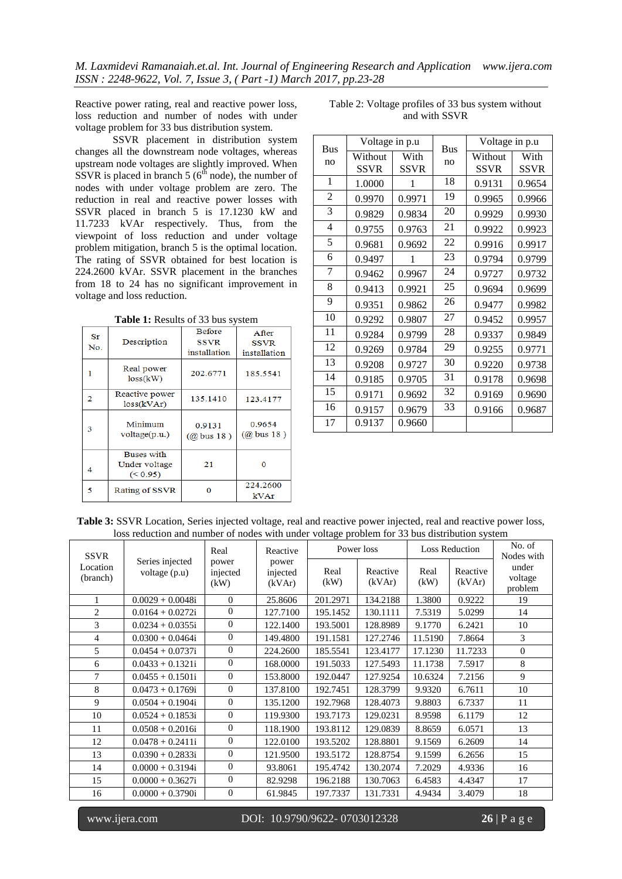Reactive power rating, real and reactive power loss, loss reduction and number of nodes with under voltage problem for 33 bus distribution system.

SSVR placement in distribution system changes all the downstream node voltages, whereas upstream node voltages are slightly improved. When SSVR is placed in branch 5 ( $6<sup>th</sup>$  node), the number of nodes with under voltage problem are zero. The reduction in real and reactive power losses with SSVR placed in branch 5 is 17.1230 kW and 11.7233 kVAr respectively. Thus, from the viewpoint of loss reduction and under voltage problem mitigation, branch 5 is the optimal location. The rating of SSVR obtained for best location is 224.2600 kVAr. SSVR placement in the branches from 18 to 24 has no significant improvement in voltage and loss reduction.

**Table 1:** Results of 33 bus system

| $S_{T}$<br>No. | Description                                         | <b>Before</b><br><b>SSVR</b><br>installation | After<br><b>SSVR</b><br>installation |  |
|----------------|-----------------------------------------------------|----------------------------------------------|--------------------------------------|--|
| 1              | Real power<br>loss(kW)                              | 202.6771                                     | 185.5541                             |  |
| 2              | Reactive power<br>loss(kVAr)                        | 135.1410                                     | 123.4177                             |  |
| 3              | Minimum<br>0.9131<br>voltage(p.u.)<br>$(Q)$ bus 18) |                                              | 0.9654<br>$(Q)$ bus 18)              |  |
| 4              | <b>Buses</b> with<br>Under voltage<br>(< 0.95)      | 21                                           | O                                    |  |
| 5              | Rating of SSVR                                      |                                              | 224.2600<br>kVAr                     |  |

Table 2: Voltage profiles of 33 bus system without and with SSVR

| <b>Bus</b><br>no | Voltage in p.u         |                     | <b>Bus</b> | Voltage in p.u         |                     |  |
|------------------|------------------------|---------------------|------------|------------------------|---------------------|--|
|                  | Without<br><b>SSVR</b> | With<br><b>SSVR</b> | no         | Without<br><b>SSVR</b> | With<br><b>SSVR</b> |  |
| $\mathbf{1}$     | 1.0000                 | 1                   | 18         | 0.9131                 | 0.9654              |  |
| $\overline{2}$   | 0.9970                 | 0.9971              | 19         | 0.9965                 | 0.9966              |  |
| 3                | 0.9829                 | 0.9834              | 20         | 0.9929                 | 0.9930              |  |
| 4                | 0.9755                 | 0.9763              | 21         | 0.9922                 | 0.9923              |  |
| 5                | 0.9681                 | 0.9692              | 22         | 0.9916                 | 0.9917              |  |
| 6                | 0.9497                 | 1                   | 23         | 0.9794                 | 0.9799              |  |
| 7                | 0.9462                 | 0.9967              | 24         | 0.9727                 | 0.9732              |  |
| 8                | 0.9413                 | 0.9921              | 25         | 0.9694                 | 0.9699              |  |
| 9                | 0.9351                 | 0.9862              | 26         | 0.9477                 | 0.9982              |  |
| 10               | 0.9292                 | 0.9807              | 27         | 0.9452                 | 0.9957              |  |
| 11               | 0.9284                 | 0.9799              | 28         | 0.9337                 | 0.9849              |  |
| 12               | 0.9269                 | 0.9784              | 29         | 0.9255                 | 0.9771              |  |
| 13               | 0.9208                 | 0.9727              | 30         | 0.9220                 | 0.9738              |  |
| 14               | 0.9185                 | 0.9705              | 31         | 0.9178                 | 0.9698              |  |
| 15               | 0.9171                 | 0.9692              | 32         | 0.9169                 | 0.9690              |  |
| 16               | 0.9157                 | 0.9679              | 33         | 0.9166                 | 0.9687              |  |
| 17               | 0.9137                 | 0.9660              |            |                        |                     |  |

**Table 3:** SSVR Location, Series injected voltage, real and reactive power injected, real and reactive power loss, loss reduction and number of nodes with under voltage problem for 33 bus distribution system

| <b>SSVR</b>          |                                  | Real<br>power<br>injected<br>(kW) | Reactive<br>power<br>injected<br>(kVAr) | Power loss   |                    | <b>Loss Reduction</b> |                    | No. of<br>Nodes with        |
|----------------------|----------------------------------|-----------------------------------|-----------------------------------------|--------------|--------------------|-----------------------|--------------------|-----------------------------|
| Location<br>(branch) | Series injected<br>voltage (p.u) |                                   |                                         | Real<br>(kW) | Reactive<br>(kVAr) | Real<br>(kW)          | Reactive<br>(kVAr) | under<br>voltage<br>problem |
|                      | $0.0029 + 0.0048i$               | $\overline{0}$                    | 25.8606                                 | 201.2971     | 134.2188           | 1.3800                | 0.9222             | 19                          |
| $\overline{2}$       | $0.0164 + 0.0272i$               | $\Omega$                          | 127.7100                                | 195.1452     | 130.1111           | 7.5319                | 5.0299             | 14                          |
| 3                    | $0.0234 + 0.0355i$               | $\overline{0}$                    | 122.1400                                | 193.5001     | 128.8989           | 9.1770                | 6.2421             | 10                          |
| 4                    | $0.0300 + 0.0464i$               | $\theta$                          | 149.4800                                | 191.1581     | 127.2746           | 11.5190               | 7.8664             | 3                           |
| 5                    | $0.0454 + 0.0737i$               | $\Omega$                          | 224.2600                                | 185.5541     | 123.4177           | 17.1230               | 11.7233            | $\mathbf{0}$                |
| 6                    | $0.0433 + 0.1321i$               | $\overline{0}$                    | 168,0000                                | 191.5033     | 127.5493           | 11.1738               | 7.5917             | 8                           |
| 7                    | $0.0455 + 0.1501i$               | $\Omega$                          | 153.8000                                | 192.0447     | 127.9254           | 10.6324               | 7.2156             | 9                           |
| 8                    | $0.0473 + 0.1769i$               | $\Omega$                          | 137.8100                                | 192.7451     | 128.3799           | 9.9320                | 6.7611             | 10                          |
| 9                    | $0.0504 + 0.1904i$               | $\Omega$                          | 135.1200                                | 192.7968     | 128.4073           | 9.8803                | 6.7337             | 11                          |
| 10                   | $0.0524 + 0.1853i$               | $\Omega$                          | 119.9300                                | 193.7173     | 129.0231           | 8.9598                | 6.1179             | 12                          |
| 11                   | $0.0508 + 0.2016i$               | $\Omega$                          | 118.1900                                | 193.8112     | 129.0839           | 8.8659                | 6.0571             | 13                          |
| 12                   | $0.0478 + 0.2411i$               | $\Omega$                          | 122.0100                                | 193.5202     | 128.8801           | 9.1569                | 6.2609             | 14                          |
| 13                   | $0.0390 + 0.2833i$               | $\overline{0}$                    | 121.9500                                | 193.5172     | 128.8754           | 9.1599                | 6.2656             | 15                          |
| 14                   | $0.0000 + 0.3194i$               | $\Omega$                          | 93.8061                                 | 195.4742     | 130.2074           | 7.2029                | 4.9336             | 16                          |
| 15                   | $0.0000 + 0.3627i$               | $\Omega$                          | 82.9298                                 | 196.2188     | 130.7063           | 6.4583                | 4.4347             | 17                          |
| 16                   | $0.0000 + 0.3790i$               | $\Omega$                          | 61.9845                                 | 197.7337     | 131.7331           | 4.9434                | 3.4079             | 18                          |

www.ijera.com DOI: 10.9790/9622- 0703012328 **26** | P a g e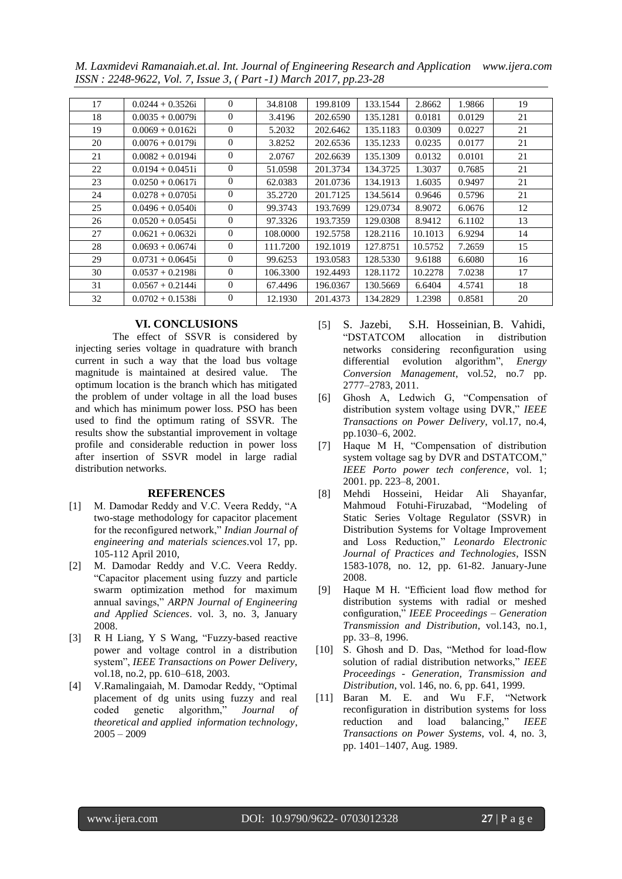*M. Laxmidevi Ramanaiah.et.al. Int. Journal of Engineering Research and Application www.ijera.com ISSN : 2248-9622, Vol. 7, Issue 3, ( Part -1) March 2017, pp.23-28*

| 17 | $0.0244 + 0.3526i$  | $\Omega$     | 34.8108  | 199.8109 | 133.1544 | 2.8662  | 1.9866 | 19 |
|----|---------------------|--------------|----------|----------|----------|---------|--------|----|
| 18 | $0.0035 + 0.0079i$  | $\Omega$     | 3.4196   | 202.6590 | 135.1281 | 0.0181  | 0.0129 | 21 |
| 19 | $0.0069 + 0.0162i$  | $\Omega$     | 5.2032   | 202.6462 | 135.1183 | 0.0309  | 0.0227 | 21 |
| 20 | $0.0076 + 0.0179$ i | $\Omega$     | 3.8252   | 202.6536 | 135.1233 | 0.0235  | 0.0177 | 21 |
| 21 | $0.0082 + 0.0194i$  | $\Omega$     | 2.0767   | 202.6639 | 135.1309 | 0.0132  | 0.0101 | 21 |
| 22 | $0.0194 + 0.0451i$  | $\Omega$     | 51.0598  | 201.3734 | 134.3725 | 1.3037  | 0.7685 | 21 |
| 23 | $0.0250 + 0.0617i$  | $\Omega$     | 62.0383  | 201.0736 | 134.1913 | 1.6035  | 0.9497 | 21 |
| 24 | $0.0278 + 0.0705$ i | $\mathbf{0}$ | 35.2720  | 201.7125 | 134.5614 | 0.9646  | 0.5796 | 21 |
| 25 | $0.0496 + 0.0540$ i | $\Omega$     | 99.3743  | 193.7699 | 129.0734 | 8.9072  | 6.0676 | 12 |
| 26 | $0.0520 + 0.0545i$  | $\Omega$     | 97.3326  | 193.7359 | 129.0308 | 8.9412  | 6.1102 | 13 |
| 27 | $0.0621 + 0.0632i$  | $\theta$     | 108,0000 | 192.5758 | 128.2116 | 10.1013 | 6.9294 | 14 |
| 28 | $0.0693 + 0.0674i$  | $\theta$     | 111.7200 | 192.1019 | 127.8751 | 10.5752 | 7.2659 | 15 |
| 29 | $0.0731 + 0.0645i$  | $\Omega$     | 99.6253  | 193.0583 | 128.5330 | 9.6188  | 6.6080 | 16 |
| 30 | $0.0537 + 0.2198$ i | $\Omega$     | 106.3300 | 192.4493 | 128.1172 | 10.2278 | 7.0238 | 17 |
| 31 | $0.0567 + 0.2144i$  | $\Omega$     | 67.4496  | 196.0367 | 130.5669 | 6.6404  | 4.5741 | 18 |
| 32 | $0.0702 + 0.1538i$  | $\mathbf{0}$ | 12.1930  | 201.4373 | 134.2829 | 1.2398  | 0.8581 | 20 |

# **VI. CONCLUSIONS**

The effect of SSVR is considered by injecting series voltage in quadrature with branch current in such a way that the load bus voltage magnitude is maintained at desired value. The optimum location is the branch which has mitigated the problem of under voltage in all the load buses and which has minimum power loss. PSO has been used to find the optimum rating of SSVR. The results show the substantial improvement in voltage profile and considerable reduction in power loss after insertion of SSVR model in large radial distribution networks.

#### **REFERENCES**

- [1] M. Damodar Reddy and V.C. Veera Reddy, "A two-stage methodology for capacitor placement for the reconfigured network," *Indian Journal of engineering and materials sciences*.vol 17, pp. 105-112 April 2010,
- [2] M. Damodar Reddy and V.C. Veera Reddy. "Capacitor placement using fuzzy and particle swarm optimization method for maximum annual savings," *ARPN Journal of Engineering and Applied Sciences*. vol. 3, no. 3, January 2008.
- [3] R H Liang, Y S Wang, "Fuzzy-based reactive power and voltage control in a distribution system", *IEEE Transactions on Power Delivery*, vol.18, no.2, pp. 610–618, 2003.
- [4] V.Ramalingaiah, M. Damodar Reddy, "Optimal placement of dg units using fuzzy and real coded genetic algorithm," *Journal of theoretical and applied information technology*,  $2005 - 2009$
- [5] [S. Jazebi](http://www.sciencedirect.com/science/article/pii/S0196890411000306), [S.H. Hosseinian](http://www.sciencedirect.com/science/article/pii/S0196890411000306), [B. Vahidi,](http://www.sciencedirect.com/science/article/pii/S0196890411000306) "DSTATCOM allocation in distribution networks considering reconfiguration using differential evolution algorithm", *Energy Conversion Management*, vol.52, no.7 pp. 2777–2783, 2011.
- [6] Ghosh A, Ledwich G, "Compensation of distribution system voltage using DVR," *IEEE Transactions on Power Delivery*, vol.17, no.4, pp.1030–6, 2002.
- [7] Haque M H, "Compensation of distribution system voltage sag by DVR and DSTATCOM," *IEEE Porto power tech conference*, vol. 1; 2001. pp. 223–8, 2001.
- [8] Mehdi Hosseini, Heidar Ali Shayanfar, Mahmoud Fotuhi-Firuzabad, "Modeling of Static Series Voltage Regulator (SSVR) in Distribution Systems for Voltage Improvement and Loss Reduction," *Leonardo Electronic Journal of Practices and Technologies*, ISSN 1583-1078, no. 12, pp. 61-82. January-June 2008.
- [9] Haque M H. "Efficient load flow method for distribution systems with radial or meshed configuration," *IEEE Proceedings – Generation Transmission and Distribution*, vol.143, no.1, pp. 33–8, 1996.
- [10] S. Ghosh and D. Das, "Method for load-flow solution of radial distribution networks," *IEEE Proceedings - Generation, Transmission and Distribution*, vol. 146, no. 6, pp. 641, 1999*.*
- [11] Baran M. E. and Wu F.F, "Network reconfiguration in distribution systems for loss reduction and load balancing," *IEEE Transactions on Power Systems*, vol. 4, no. 3, pp. 1401–1407, Aug. 1989.